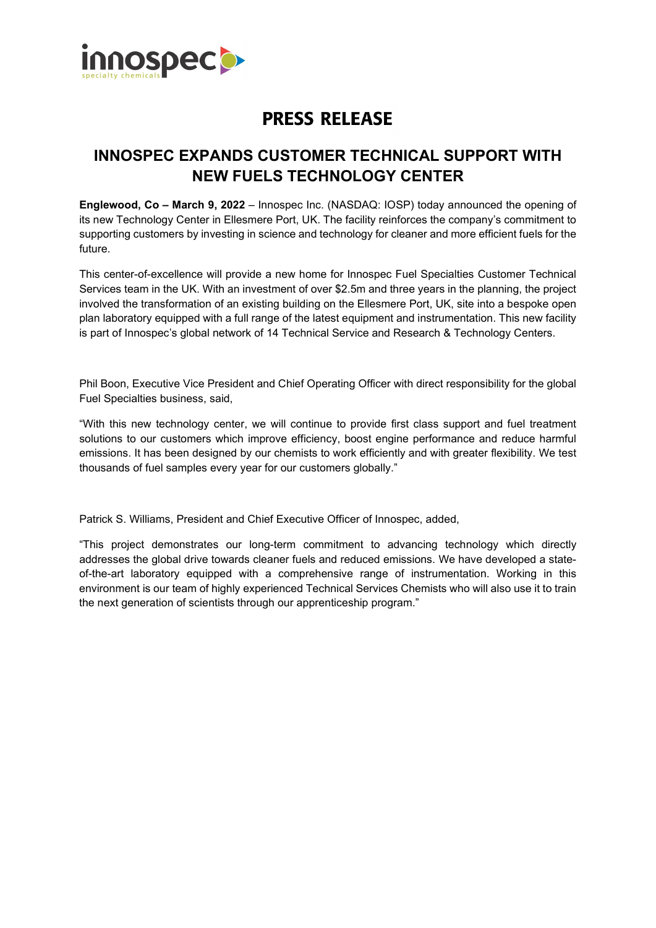

## **PRESS RELEASE**

## **INNOSPEC EXPANDS CUSTOMER TECHNICAL SUPPORT WITH NEW FUELS TECHNOLOGY CENTER**

**Englewood, Co – March 9, 2022** – Innospec Inc. (NASDAQ: IOSP) today announced the opening of its new Technology Center in Ellesmere Port, UK. The facility reinforces the company's commitment to supporting customers by investing in science and technology for cleaner and more efficient fuels for the future.

This center-of-excellence will provide a new home for Innospec Fuel Specialties Customer Technical Services team in the UK. With an investment of over \$2.5m and three years in the planning, the project involved the transformation of an existing building on the Ellesmere Port, UK, site into a bespoke open plan laboratory equipped with a full range of the latest equipment and instrumentation. This new facility is part of Innospec's global network of 14 Technical Service and Research & Technology Centers.

Phil Boon, Executive Vice President and Chief Operating Officer with direct responsibility for the global Fuel Specialties business, said,

"With this new technology center, we will continue to provide first class support and fuel treatment solutions to our customers which improve efficiency, boost engine performance and reduce harmful emissions. It has been designed by our chemists to work efficiently and with greater flexibility. We test thousands of fuel samples every year for our customers globally."

Patrick S. Williams, President and Chief Executive Officer of Innospec, added,

"This project demonstrates our long-term commitment to advancing technology which directly addresses the global drive towards cleaner fuels and reduced emissions. We have developed a stateof-the-art laboratory equipped with a comprehensive range of instrumentation. Working in this environment is our team of highly experienced Technical Services Chemists who will also use it to train the next generation of scientists through our apprenticeship program."